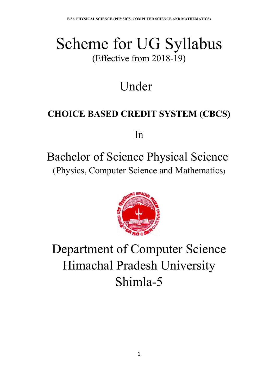# Scheme for UG Syllabus (Effective from 2018-19)

# Under

## **CHOICE BASED CREDIT SYSTEM (CBCS)**

In

## Bachelor of Science Physical Science (Physics, Computer Science and Mathematics)



# Department of Computer Science Himachal Pradesh University Shimla-5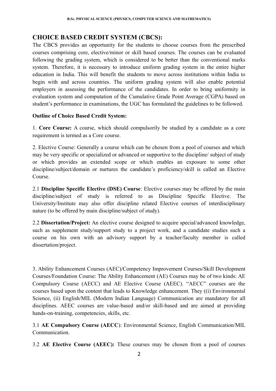## **CHOICE BASED CREDIT SYSTEM (CBCS):**

The CBCS provides an opportunity for the students to choose courses from the prescribed courses comprising core, elective/minor or skill based courses. The courses can be evaluated following the grading system, which is considered to be better than the conventional marks system. Therefore, it is necessary to introduce uniform grading system in the entire higher education in India. This will benefit the students to move across institutions within India to begin with and across countries. The uniform grading system will also enable potential employers in assessing the performance of the candidates. In order to bring uniformity in evaluation system and computation of the Cumulative Grade Point Average (CGPA) based on student's performance in examinations, the UGC has formulated the guidelines to be followed.

## **Outline of Choice Based Credit System:**

1. **Core Course:** A course, which should compulsorily be studied by a candidate as a core requirement is termed as a Core course.

2. Elective Course: Generally a course which can be chosen from a pool of courses and which may be very specific or specialized or advanced or supportive to the discipline/ subject of study or which provides an extended scope or which enables an exposure to some other discipline/subject/domain or nurtures the candidate's proficiency/skill is called an Elective Course.

2.1 **Discipline Specific Elective (DSE) Course**: Elective courses may be offered by the main discipline/subject of study is referred to as Discipline Specific Elective. The University/Institute may also offer discipline related Elective courses of interdisciplinary nature (to be offered by main discipline/subject of study).

2.2 **Dissertation/Project:** An elective course designed to acquire special/advanced knowledge, such as supplement study/support study to a project work, and a candidate studies such a course on his own with an advisory support by a teacher/faculty member is called dissertation/project.

3. Ability Enhancement Courses (AEC)/Competency Improvement Courses/Skill Development Courses/Foundation Course: The Ability Enhancement (AE) Courses may be of two kinds: AE Compulsory Course (AECC) and AE Elective Course (AEEC). "AECC" courses are the courses based upon the content that leads to Knowledge enhancement. They ((i) Environmental Science, (ii) English/MIL (Modern Indian Language) Communication are mandatory for all disciplines. AEEC courses are value-based and/or skill-based and are aimed at providing hands-on-training, competencies, skills, etc.

3.1 **AE Compulsory Course (AECC**): Environmental Science, English Communication/MIL Communication.

3.2 **AE Elective Course (AEEC):** These courses may be chosen from a pool of courses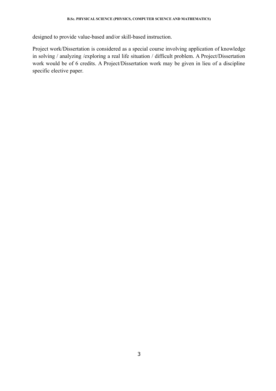designed to provide value-based and/or skill-based instruction.

Project work/Dissertation is considered as a special course involving application of knowledge in solving / analyzing /exploring a real life situation / difficult problem. A Project/Dissertation work would be of 6 credits. A Project/Dissertation work may be given in lieu of a discipline specific elective paper.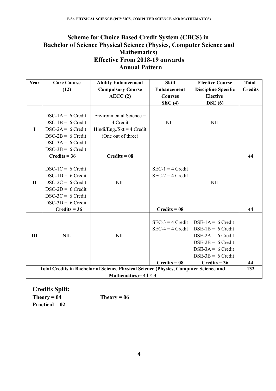## **Scheme for Choice Based Credit System (CBCS) in Bachelor of Science Physical Science (Physics, Computer Science and Mathematics) Effective From 2018-19 onwards Annual Pattern**

| Year                                                                                 | <b>Core Course</b>                                                                                                                                                 | <b>Ability Enhancement</b>                                                                                 | <b>Skill</b>                                               | <b>Elective Course</b>                                                                                                                                   | <b>Total</b>   |  |
|--------------------------------------------------------------------------------------|--------------------------------------------------------------------------------------------------------------------------------------------------------------------|------------------------------------------------------------------------------------------------------------|------------------------------------------------------------|----------------------------------------------------------------------------------------------------------------------------------------------------------|----------------|--|
|                                                                                      | (12)                                                                                                                                                               | <b>Compulsory Course</b>                                                                                   | <b>Enhancement</b>                                         | <b>Discipline Specific</b>                                                                                                                               | <b>Credits</b> |  |
|                                                                                      |                                                                                                                                                                    | AECC(2)                                                                                                    | <b>Courses</b>                                             | <b>Elective</b>                                                                                                                                          |                |  |
|                                                                                      |                                                                                                                                                                    |                                                                                                            | SEC(4)                                                     | $\overline{\text{DSE}}(6)$                                                                                                                               |                |  |
| $\mathbf I$                                                                          | $DSC-1A = 6 Credit$<br>$DSC-1B = 6$ Credit<br>$DSC-2A = 6$ Credit<br>$DSC-2B = 6$ Credit<br>$DSC-3A = 6 Credit$<br>$DSC-3B = 6 Credit$<br>$Credits = 36$           | Environmental Science =<br>4 Credit<br>Hindi/Eng./Skt = $4$ Credit<br>(One out of three)<br>$Credits = 08$ | <b>NIL</b>                                                 | <b>NIL</b>                                                                                                                                               | 44             |  |
| $\mathbf{I}$                                                                         | $DSC-1C = 6$ Credit<br>$DSC-1D = 6$ Credit<br>$DSC-2C = 6$ Credit<br>$DSC-2D = 6$ Credit<br>$DSC-3C = 6$ Credit<br>$DSC-3D = 6 Credit$<br>$C$ $\text{redits} = 36$ | <b>NIL</b>                                                                                                 | $SEC-1 = 4 Credit$<br>$SEC-2 = 4 Credit$<br>$Credits = 08$ | <b>NIL</b>                                                                                                                                               | 44             |  |
| III                                                                                  | <b>NIL</b>                                                                                                                                                         | <b>NIL</b>                                                                                                 | $SEC-3 = 4 Credit$<br>$SEC-4 = 4 Credit$<br>$Credits = 08$ | DSE-1A = $6$ Credit<br>$DSE-1B = 6$ Credit<br>$DSE-2A = 6$ Credit<br>$DSE-2B = 6$ Credit<br>$DSE-3A = 6$ Credit<br>$DSE-3B = 6$ Credit<br>$Credits = 36$ | 44             |  |
| Total Credits in Bachelor of Science Physical Science (Physics, Computer Science and |                                                                                                                                                                    |                                                                                                            |                                                            |                                                                                                                                                          |                |  |
| Mathematics) = $44 \times 3$                                                         |                                                                                                                                                                    |                                                                                                            |                                                            |                                                                                                                                                          |                |  |

**Credits Split:**  $Theory = 04$  Theory = 06 **Practical = 02**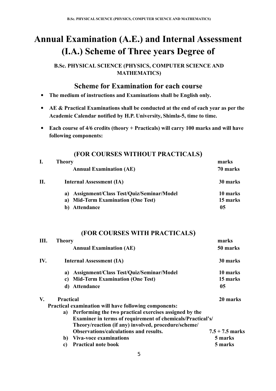## **Annual Examination (A.E.) and Internal Assessment (I.A.) Scheme of Three years Degree of**

**B.Sc. PHYSICAL SCIENCE (PHYSICS, COMPUTER SCIENCE AND MATHEMATICS)**

## **Scheme for Examination for each course**

- **The medium of instructions and Examinations shall be English only.**
- **AE & Practical Examinations shall be conducted at the end of each year as per the Academic Calendar notified by H.P. University, Shimla-5, time to time.**
- **Each course of 4/6 credits (theory + Practicals) will carry 100 marks and will have following components:**

|  | (FOR COURSES WITHOUT PRACTICALS) |
|--|----------------------------------|
|--|----------------------------------|

|    | <b>Theory</b>                                   | marks    |  |
|----|-------------------------------------------------|----------|--|
|    | <b>Annual Examination (AE)</b>                  | 70 marks |  |
| П. | <b>Internal Assessment (IA)</b>                 | 30 marks |  |
|    | <b>Assignment/Class Test/Quiz/Seminar/Model</b> | 10 marks |  |
|    | a) Mid-Term Examination (One Test)              | 15 marks |  |
|    | Attendance                                      | 05       |  |

## **(FOR COURSES WITH PRACTICALS)**

| marks                                                             |
|-------------------------------------------------------------------|
| 50 marks                                                          |
| 30 marks                                                          |
| 10 marks                                                          |
| 15 marks                                                          |
| 05                                                                |
| 20 marks                                                          |
|                                                                   |
|                                                                   |
| <b>Examiner in terms of requirement of chemicals/Practical's/</b> |
|                                                                   |
| $7.5 + 7.5$ marks                                                 |
| 5 marks                                                           |
| 5 marks                                                           |
|                                                                   |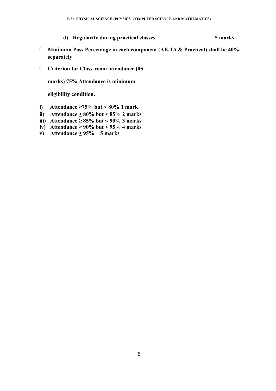**d) Regularity during practical classes 5 marks**

- **Minimum Pass Percentage in each component (AE, IA & Practical) shall be 40%, separately**
- **Criterion for Class-room attendance (05**

**marks) 75% Attendance is minimum** 

**eligibility condition.**

- **i) Attendance ≥75% but < 80% 1 mark**
- **ii) Attendance ≥ 80% but < 85% 2 marks**
- **iii) Attendance ≥ 85% but < 90% 3 marks**
- **iv) Attendance ≥ 90% but < 95% 4 marks**
- **v) Attendance ≥ 95% 5 marks**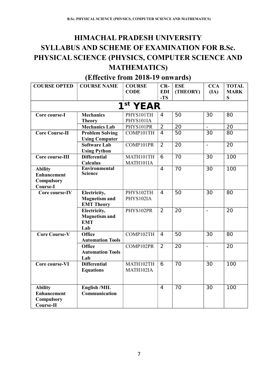## **HIMACHAL PRADESH UNIVERSITY SYLLABUS AND SCHEME OF EXAMINATION FOR B.Sc. PHYSICAL SCIENCE (PHYSICS, COMPUTER SCIENCE AND MATHEMATICS)**

| <b>COURSE OPTED</b>                  | <b>COURSE NAME</b>                      | <b>COURSE</b><br><b>CODE</b> | $CR-$               | <b>ESE</b>      | <b>CCA</b>      | <b>TOTAL</b>     |
|--------------------------------------|-----------------------------------------|------------------------------|---------------------|-----------------|-----------------|------------------|
|                                      |                                         |                              | <b>EDI</b><br>$-TS$ | (THEORY)        | (IA)            | <b>MARK</b><br>S |
|                                      |                                         | 1 <sup>st</sup> YEAR         |                     |                 |                 |                  |
| Core course-I                        | <b>Mechanics</b>                        | PHYS101TH                    | 4                   | $\overline{50}$ | 30              | 80               |
|                                      | <b>Theory</b>                           | PHYS101IA                    |                     |                 |                 |                  |
|                                      | <b>Mechanics Lab</b>                    | PHYS101PR                    | $\overline{2}$      | $\overline{20}$ | $\equiv$        | $\overline{20}$  |
| <b>Core Course-II</b>                | <b>Problem Solving</b>                  | COMP101TH                    | $\overline{4}$      | $\overline{50}$ | $\overline{30}$ | 80               |
|                                      | <b>Using Computer</b>                   |                              |                     |                 |                 |                  |
|                                      | <b>Software Lab</b>                     | COMP101PR                    | $\overline{2}$      | 20              | $\blacksquare$  | 20               |
|                                      | <b>Using Python</b>                     |                              |                     |                 |                 |                  |
| Core course-III                      | <b>Differential</b>                     | MATH101TH                    | $\overline{6}$      | $\overline{70}$ | $\overline{30}$ | $\overline{100}$ |
|                                      | <b>Calculus</b><br><b>Environmental</b> | MATH101IA                    | $\overline{4}$      | $\overline{70}$ | $\overline{30}$ | $\overline{100}$ |
| <b>Ability</b><br><b>Enhancement</b> | <b>Science</b>                          |                              |                     |                 |                 |                  |
| Compulsory                           |                                         |                              |                     |                 |                 |                  |
| Course-I                             |                                         |                              |                     |                 |                 |                  |
| Core course-IV                       | Electricity,                            | PHYS102TH                    | $\overline{4}$      | $\overline{50}$ | $\overline{30}$ | $\overline{80}$  |
|                                      | <b>Magnetism and</b>                    | PHYS102IA                    |                     |                 |                 |                  |
|                                      | <b>EMT Theory</b>                       |                              |                     |                 |                 |                  |
|                                      | Electricity,                            | PHYS102PR                    | $\overline{2}$      | $\overline{20}$ | $\equiv$        | $\overline{20}$  |
|                                      | <b>Magnetism and</b>                    |                              |                     |                 |                 |                  |
|                                      | <b>EMT</b>                              |                              |                     |                 |                 |                  |
|                                      | Lab                                     |                              |                     |                 |                 |                  |
| <b>Core Course-V</b>                 | <b>Office</b>                           | COMP102TH                    | 4                   | $\overline{50}$ | 30              | 80               |
|                                      | <b>Automation Tools</b>                 |                              |                     |                 |                 |                  |
|                                      | <b>Office</b>                           | COMP102PR                    | 2                   | $\overline{20}$ | $\blacksquare$  | $\overline{20}$  |
|                                      | <b>Automation Tools</b>                 |                              |                     |                 |                 |                  |
|                                      | Lab                                     |                              |                     |                 |                 |                  |
| Core course-VI                       | <b>Differential</b>                     | MATH102TH                    | 6                   | 70              | 30              | 100              |
|                                      | <b>Equations</b>                        | MATH102IA                    |                     |                 |                 |                  |
|                                      |                                         |                              |                     |                 |                 |                  |
| <b>Ability</b>                       | English /MIL                            |                              | $\overline{4}$      | 70              | 30              | 100              |
| <b>Enhancement</b>                   | Communication                           |                              |                     |                 |                 |                  |
| <b>Compulsory</b>                    |                                         |                              |                     |                 |                 |                  |
| Course-II                            |                                         |                              |                     |                 |                 |                  |

## **(Effective from 2018-19 onwards)**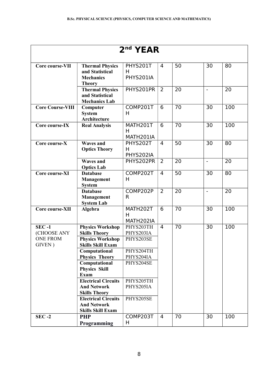|                                            |                                                                                | 2 <sup>nd</sup> YEAR                |                |                 |                          |                 |
|--------------------------------------------|--------------------------------------------------------------------------------|-------------------------------------|----------------|-----------------|--------------------------|-----------------|
| Core course-VII                            | <b>Thermal Physics</b><br>and Statistical<br><b>Mechanics</b><br><b>Theory</b> | PHYS201T<br>н<br>PHYS201IA          | 4              | 50              | 30                       | 80              |
|                                            | <b>Thermal Physics</b><br>and Statistical<br><b>Mechanics Lab</b>              | PHYS201PR                           | $\overline{2}$ | 20              | $\blacksquare$           | 20              |
| <b>Core Course-VIII</b>                    | Computer<br><b>System</b><br>Architecture                                      | COMP201T<br>H                       | 6              | 70              | 30                       | 100             |
| Core course-IX                             | <b>Real Analysis</b>                                                           | MATH201T<br>H<br>MATH201IA          | 6              | $\overline{70}$ | 30                       | 100             |
| Core course-X                              | <b>Waves and</b><br><b>Optics Theory</b>                                       | PHYS202T<br>Н<br>PHYS202IA          | $\overline{4}$ | $\overline{50}$ | 30                       | $\overline{80}$ |
|                                            | <b>Waves and</b><br><b>Optics Lab</b>                                          | PHYS202PR                           | 2              | 20              | $\blacksquare$           | 20              |
| Core course-XI                             | <b>Database</b><br><b>Management</b><br><b>System</b>                          | COMP202T<br>H                       | $\overline{4}$ | $\overline{50}$ | 30                       | 80              |
|                                            | <b>Database</b><br><b>Management</b><br><b>System Lab</b>                      | COMP202P<br>R                       | $\overline{2}$ | $\overline{20}$ | $\overline{\phantom{a}}$ | 20              |
| Core course-XII                            | Algebra                                                                        | MATH202T<br>H<br>MATH202IA          | 6              | 70              | 30                       | 100             |
| $SEC -1$<br>(CHOOSE ANY<br><b>ONE FROM</b> | <b>Physics Workshop</b><br><b>Skills Theory</b><br><b>Physics Workshop</b>     | PHYS203TH<br>PHYS203IA<br>PHYS203SE | $\overline{4}$ | 70              | 30                       | 100             |
| GIVEN)                                     | <b>Skills Skill Exam</b><br>Computational<br><b>Physics Theory</b>             | PHYS204TH<br>PHYS204IA              |                |                 |                          |                 |
|                                            | Computational<br><b>Physics Skill</b><br><b>Exam</b>                           | PHYS204SE                           |                |                 |                          |                 |
|                                            | <b>Electrical Circuits</b><br><b>And Network</b><br><b>Skills Theory</b>       | PHYS205TH<br>PHYS205IA              |                |                 |                          |                 |
|                                            | <b>Electrical Circuits</b><br><b>And Network</b><br><b>Skills Skill Exam</b>   | PHYS205SE                           |                |                 |                          |                 |
| $SEC -2$                                   | <b>PHP</b><br>Programming                                                      | COMP203T<br>H                       | 4              | 70              | 30                       | 100             |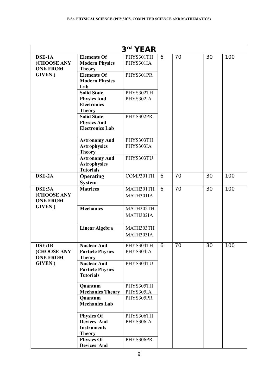|                                                 |                                                                                | 3rd YEAR               |   |    |    |     |
|-------------------------------------------------|--------------------------------------------------------------------------------|------------------------|---|----|----|-----|
| DSE-1A<br><b>(CHOOSE ANY</b><br><b>ONE FROM</b> | <b>Elements Of</b><br><b>Modern Physics</b>                                    | PHYS301TH<br>PHYS301IA | 6 | 70 | 30 | 100 |
| <b>GIVEN</b> )                                  | <b>Theory</b><br><b>Elements Of</b><br><b>Modern Physics</b>                   | PHYS301PR              |   |    |    |     |
|                                                 | Lab<br><b>Solid State</b>                                                      | PHYS302TH              |   |    |    |     |
|                                                 | <b>Physics And</b><br><b>Electronics</b><br><b>Theory</b>                      | PHYS302IA              |   |    |    |     |
|                                                 | <b>Solid State</b><br><b>Physics And</b><br><b>Electronics Lab</b>             | PHYS302PR              |   |    |    |     |
|                                                 | <b>Astronomy And</b><br><b>Astrophysics</b><br><b>Theory</b>                   | PHYS303TH<br>PHYS303IA |   |    |    |     |
|                                                 | <b>Astronomy And</b><br><b>Astrophysics</b><br><b>Tutorials</b>                | PHYS303TU              |   |    |    |     |
| DSE-2A                                          | <b>Operating</b><br><b>System</b>                                              | COMP301TH              | 6 | 70 | 30 | 100 |
| DSE:3A<br>(CHOOSE ANY<br><b>ONE FROM</b>        | <b>Matrices</b>                                                                | MATH301TH<br>MATH301IA | 6 | 70 | 30 | 100 |
| <b>GIVEN</b> )                                  | <b>Mechanics</b>                                                               | MATH302TH<br>MATH302IA |   |    |    |     |
|                                                 | <b>Linear Algebra</b>                                                          | MATH303TH<br>MATH303IA |   |    |    |     |
| DSE:1B<br>(CHOOSE ANY<br><b>ONE FROM</b>        | <b>Nuclear And</b><br><b>Particle Physics</b><br><b>Theory</b>                 | PHYS304TH<br>PHYS304IA | 6 | 70 | 30 | 100 |
| <b>GIVEN</b> )                                  | <b>Nuclear And</b><br><b>Particle Physics</b><br><b>Tutorials</b>              | PHYS304TU              |   |    |    |     |
|                                                 | Quantum<br><b>Mechanics Theory</b>                                             | PHYS305TH<br>PHYS305IA |   |    |    |     |
|                                                 | Quantum<br><b>Mechanics Lab</b>                                                | PHYS305PR              |   |    |    |     |
|                                                 | <b>Physics Of</b><br><b>Devices And</b><br><b>Instruments</b><br><b>Theory</b> | PHYS306TH<br>PHYS306IA |   |    |    |     |
|                                                 | <b>Physics Of</b><br><b>Devices And</b>                                        | PHYS306PR              |   |    |    |     |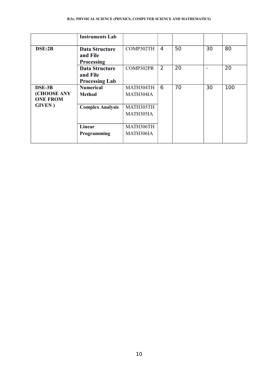#### **B.Sc. PHYSICAL SCIENCE (PHYSICS, COMPUTER SCIENCE AND MATHEMATICS)**

|                                | <b>Instruments Lab</b>            |           |   |    |    |     |
|--------------------------------|-----------------------------------|-----------|---|----|----|-----|
| DSE:2B                         | Data Structure                    | COMP302TH | 4 | 50 | 30 | 80  |
|                                | and File<br><b>Processing</b>     |           |   |    |    |     |
|                                | <b>Data Structure</b>             | COMP302PR | 2 | 20 |    | 20  |
|                                | and File<br><b>Processing Lab</b> |           |   |    |    |     |
| DSE-3B                         | <b>Numerical</b>                  | MATH304TH | 6 | 70 | 30 | 100 |
| (CHOOSE ANY<br><b>ONE FROM</b> | <b>Method</b>                     | MATH304IA |   |    |    |     |
| <b>GIVEN</b> )                 | <b>Complex Analysis</b>           | MATH305TH |   |    |    |     |
|                                |                                   | MATH305IA |   |    |    |     |
|                                | Linear                            | MATH306TH |   |    |    |     |
|                                | Programming                       | MATH306IA |   |    |    |     |
|                                |                                   |           |   |    |    |     |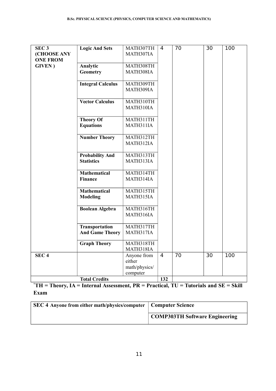| SEC <sub>3</sub> | <b>Logic And Sets</b>    | MATH307TH             | 4   | 70              | $\overline{30}$ | 100 |
|------------------|--------------------------|-----------------------|-----|-----------------|-----------------|-----|
| (CHOOSE ANY      |                          | MATH307IA             |     |                 |                 |     |
| <b>ONE FROM</b>  |                          |                       |     |                 |                 |     |
| <b>GIVEN</b> )   | Analytic                 | MATH308TH             |     |                 |                 |     |
|                  | <b>Geometry</b>          | MATH308IA             |     |                 |                 |     |
|                  |                          |                       |     |                 |                 |     |
|                  | <b>Integral Calculus</b> | MATH309TH             |     |                 |                 |     |
|                  |                          | MATH309IA             |     |                 |                 |     |
|                  |                          |                       |     |                 |                 |     |
|                  | <b>Vector Calculus</b>   | MATH310TH             |     |                 |                 |     |
|                  |                          | MATH310IA             |     |                 |                 |     |
|                  |                          |                       |     |                 |                 |     |
|                  | <b>Theory Of</b>         | MATH311TH             |     |                 |                 |     |
|                  | <b>Equations</b>         | MATH311IA             |     |                 |                 |     |
|                  |                          |                       |     |                 |                 |     |
|                  | <b>Number Theory</b>     | MATH312TH             |     |                 |                 |     |
|                  |                          | MATH312IA             |     |                 |                 |     |
|                  |                          |                       |     |                 |                 |     |
|                  | <b>Probability And</b>   | MATH313TH             |     |                 |                 |     |
|                  | <b>Statistics</b>        | MATH313IA             |     |                 |                 |     |
|                  |                          |                       |     |                 |                 |     |
|                  | <b>Mathematical</b>      | MATH314TH             |     |                 |                 |     |
|                  | <b>Finance</b>           | MATH314IA             |     |                 |                 |     |
|                  |                          |                       |     |                 |                 |     |
|                  | <b>Mathematical</b>      | MATH315TH             |     |                 |                 |     |
|                  | <b>Modeling</b>          | MATH315IA             |     |                 |                 |     |
|                  |                          |                       |     |                 |                 |     |
|                  | <b>Boolean Algebra</b>   | MATH316TH             |     |                 |                 |     |
|                  |                          | MATH316IA             |     |                 |                 |     |
|                  |                          |                       |     |                 |                 |     |
|                  | <b>Transportation</b>    | MATH317TH             |     |                 |                 |     |
|                  | <b>And Game Theory</b>   | MATH317IA             |     |                 |                 |     |
|                  |                          |                       |     |                 |                 |     |
|                  | <b>Graph Theory</b>      | MATH318TH             |     |                 |                 |     |
|                  |                          | MATH318IA             | 4   | $\overline{70}$ | $\overline{30}$ | 100 |
| SEC <sub>4</sub> |                          | Anyone from<br>either |     |                 |                 |     |
|                  |                          |                       |     |                 |                 |     |
|                  |                          | math/physics/         |     |                 |                 |     |
|                  |                          | computer              |     |                 |                 |     |
|                  | <b>Total Credits</b>     |                       | 132 |                 |                 |     |

**\*TH = Theory, IA = Internal Assessment, PR = Practical, TU = Tutorials and SE = Skill Exam**

| <b>SEC 4 Anyone from either math/physics/computer   Computer Science</b> |                                       |
|--------------------------------------------------------------------------|---------------------------------------|
|                                                                          | <b>COMP303TH Software Engineering</b> |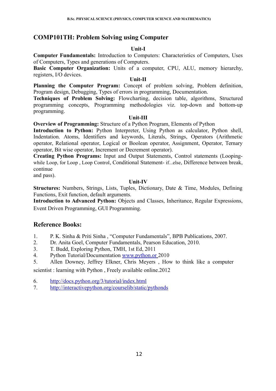## **COMP101TH: Problem Solving using Computer**

## **Unit-I**

**Computer Fundamentals:** Introduction to Computers: Characteristics of Computers, Uses of Computers, Types and generations of Computers.

**Basic Computer Organization:** Units of a computer, CPU, ALU, memory hierarchy, registers, I/O devices.

### **Unit-II**

**Planning the Computer Program:** Concept of problem solving, Problem definition, Program design, Debugging, Types of errors in programming, Documentation.

**Techniques of Problem Solving:** Flowcharting, decision table, algorithms, Structured programming concepts, Programming methodologies viz. top-down and bottom-up programming.

## **Unit-III**

**Overview of Programming:** Structure of a Python Program, Elements of Python

Introduction to Python: Python Interpreter, Using Python as calculator, Python shell, Indentation. Atoms, Identifiers and keywords, Literals, Strings, Operators (Arithmetic operator, Relational operator, Logical or Boolean operator, Assignment, Operator, Ternary operator, Bit wise operator, Increment or Decrement operator).

**Creating Python Programs:** Input and Output Statements, Control statements (Loopingwhile Loop, for Loop , Loop Control, Conditional Statement- if...else, Difference between break, continue

and pass).

## **Unit-IV**

**Structures:** Numbers, Strings, Lists, Tuples, Dictionary, Date & Time, Modules, Defining Functions, Exit function, default arguments.

**Introduction to Advanced Python:** Objects and Classes, Inheritance, Regular Expressions, Event Driven Programming, GUI Programming.

## **Reference Books:**

- 1. P. K. Sinha & Priti Sinha , "Computer Fundamentals", BPB Publications, 2007.
- 2. Dr. Anita Goel, Computer Fundamentals, Pearson Education, 2010.
- 3. T. Budd, Exploring Python, TMH, 1st Ed, 2011
- 4. Python Tutorial/Documentation www.python.or 2010
- 5. Allen Downey, Jeffrey Elkner, Chris Meyers , How to think like a computer

scientist : learning with Python , Freely available online.2012

- 6. <http://docs.python.org/3/tutorial/index.html>
- 7. <http://interactivepython.org/courselib/static/pythonds>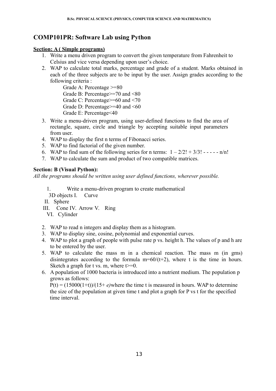## **COMP101PR: Software Lab using Python**

## **Section: A ( Simple programs)**

- 1. Write a menu driven program to convert the given temperature from Fahrenheit to Celsius and vice versa depending upon user's choice.
- 2. WAP to calculate total marks, percentage and grade of a student. Marks obtained in each of the three subjects are to be input by the user. Assign grades according to the following criteria :

Grade A: Percentage >=80 Grade B: Percentage>=70 and <80 Grade C: Percentage>=60 and <70 Grade D: Percentage>=40 and <60 Grade E: Percentage<40

- 3. Write a menu-driven program, using user-defined functions to find the area of rectangle, square, circle and triangle by accepting suitable input parameters from user.
- 4. WAP to display the first n terms of Fibonacci series.
- 5. WAP to find factorial of the given number.
- 6. WAP to find sum of the following series for n terms:  $1 2/2! + 3/3! - \cdot n/n!$
- 7. WAP to calculate the sum and product of two compatible matrices.

## **Section: B (Visual Python):**

*All the programs should be written using user defined functions, wherever possible.*

- 1. Write a menu-driven program to create mathematical
- 3D objects I. Curve
- II. Sphere
- III. Cone IV. Arrow V. Ring
- VI. Cylinder
- 2. WAP to read n integers and display them as a histogram.
- 3. WAP to display sine, cosine, polynomial and exponential curves.
- 4. WAP to plot a graph of people with pulse rate p vs. height h. The values of p and h are to be entered by the user.
- 5. WAP to calculate the mass m in a chemical reaction. The mass m (in gms) disintegrates according to the formula  $m=60/(t+2)$ , where t is the time in hours. Sketch a graph for t vs. m, where  $t \ge 0$ .
- 6. A population of 1000 bacteria is introduced into a nutrient medium. The population p grows as follows:

 $P(t) = (15000(1+t))/(15+e)$  where the time t is measured in hours. WAP to determine the size of the population at given time t and plot a graph for P vs t for the specified time interval.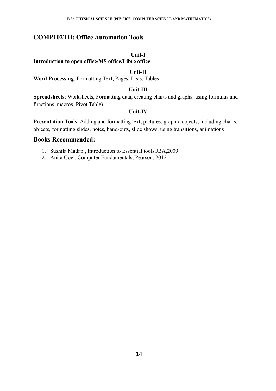## **COMP102TH: Office Automation Tools**

#### **Unit-I**

**Introduction to open office/MS office/Libre office** 

#### **Unit-II**

**Word Processing**: Formatting Text, Pages, Lists, Tables

## **Unit-III**

**Spreadsheets**: Worksheets, Formatting data, creating charts and graphs, using formulas and functions, macros, Pivot Table)

### **Unit-IV**

**Presentation Tools**: Adding and formatting text, pictures, graphic objects, including charts, objects, formatting slides, notes, hand-outs, slide shows, using transitions, animations

- 1. Sushila Madan , Introduction to Essential tools,JBA,2009.
- 2. Anita Goel, Computer Fundamentals, Pearson, 2012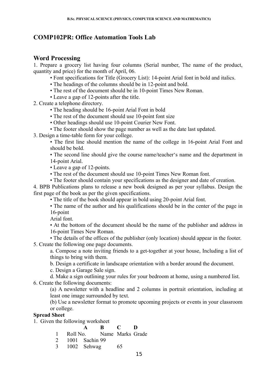## **COMP102PR: Office Automation Tools Lab**

## **Word Processing**

1. Prepare a grocery list having four columns (Serial number, The name of the product, quantity and price) for the month of April, 06.

- Font specifications for Title (Grocery List): 14-point Arial font in bold and italics.
- The headings of the columns should be in 12-point and bold.
- The rest of the document should be in 10-point Times New Roman.
- Leave a gap of 12-points after the title.
- 2. Create a telephone directory.
	- The heading should be 16-point Arial Font in bold
	- The rest of the document should use 10-point font size
	- Other headings should use 10-point Courier New Font.
	- The footer should show the page number as well as the date last updated.
- 3. Design a time-table form for your college.

• The first line should mention the name of the college in 16-point Arial Font and should be bold.

• The second line should give the course name/teacher's name and the department in 14-point Arial.

- Leave a gap of 12-points.
- The rest of the document should use 10-point Times New Roman font.
- The footer should contain your specifications as the designer and date of creation.

4. BPB Publications plans to release a new book designed as per your syllabus. Design the first page of the book as per the given specifications.

- The title of the book should appear in bold using 20-point Arial font.
- The name of the author and his qualifications should be in the center of the page in 16-point

Arial font.

• At the bottom of the document should be the name of the publisher and address in 16-point Times New Roman.

• The details of the offices of the publisher (only location) should appear in the footer. 5. Create the following one page documents.

a. Compose a note inviting friends to a get-together at your house, Including a list of things to bring with them.

b. Design a certificate in landscape orientation with a border around the document.

c. Design a Garage Sale sign.

d. Make a sign outlining your rules for your bedroom at home, using a numbered list.

6. Create the following documents:

(a) A newsletter with a headline and 2 columns in portrait orientation, including at least one image surrounded by text.

(b) Use a newsletter format to promote upcoming projects or events in your classroom or college.

## **Spread Sheet**

1. Given the following worksheet

## **A B C D**

- 1 Roll No. Name Marks Grade
- 2 1001 Sachin 99
- 3 1002 Sehwag 65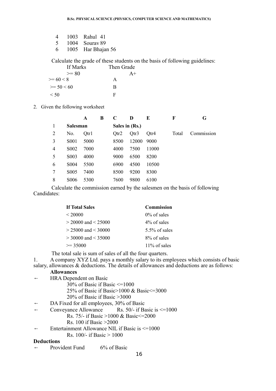| $\overline{4}$ | 1003 Rahul 41      |
|----------------|--------------------|
| -5             | 1004 Souray 89     |
| 6              | 1005 Har Bhajan 56 |

Calculate the grade of these students on the basis of following guidelines:

| If Marks     | Then Grade |
|--------------|------------|
| $>= 80$      | $A+$       |
| $>= 60 < 8$  | А          |
| $>= 50 < 60$ | B          |
| $\leq 50$    | F          |

2. Given the following worksheet

|   |                   | A    | B | C              | D     | E     | F     | G          |
|---|-------------------|------|---|----------------|-------|-------|-------|------------|
|   | <b>Salesman</b>   |      |   | Sales in (Rs.) |       |       |       |            |
| 2 | No.               | Qtr1 |   | Qtr2           | Qtr3  | Qtr4  | Total | Commission |
| 3 | S <sub>0</sub> 01 | 5000 |   | 8500           | 12000 | 9000  |       |            |
| 4 | S <sub>0</sub> 02 | 7000 |   | 4000           | 7500  | 11000 |       |            |
| 5 | S <sub>0</sub> 03 | 4000 |   | 9000           | 6500  | 8200  |       |            |
| 6 | S <sub>0</sub> 04 | 5500 |   | 6900           | 4500  | 10500 |       |            |
| 7 | S <sub>0</sub> 05 | 7400 |   | 8500           | 9200  | 8300  |       |            |
| 8 | <b>S006</b>       | 5300 |   | 7600           | 9800  | 6100  |       |            |

 Calculate the commission earned by the salesmen on the basis of following Candidates:

| <b>If Total Sales</b>   | <b>Commission</b> |
|-------------------------|-------------------|
| ${}<$ 20000             | $0\%$ of sales    |
| $>$ 20000 and $<$ 25000 | 4\% of sales      |
| $> 25000$ and $< 30000$ | $5.5\%$ of sales  |
| $>$ 30000 and $<$ 35000 | 8% of sales       |
| $\geq$ 3.5000           | $11\%$ of sales   |

The total sale is sum of sales of all the four quarters.

1. A company XYZ Ltd. pays a monthly salary to its employees which consists of basic salary, allowances & deductions. The details of allowances and deductions are as follows:

#### **Allowances**

- $\leftarrow$  HRA Dependent on Basic
	- 30% of Basic if Basic <=1000
		- 25% of Basic if Basic>1000 & Basic<=3000
	- 20% of Basic if Basic >3000
- ← DA Fixed for all employees, 30% of Basic
- ← Conveyance Allowance Rs. 50/- if Basic is  $\leq 1000$ 
	- Rs. 75/- if Basic >1000 & Basic<=2000
	- Rs. 100 if Basic >2000
- $\leftarrow$  Entertainment Allowance NIL if Basic is  $\leq 1000$

Rs.  $100/-$  if Basic  $> 1000$ 

#### **Deductions**

 $\leftarrow$  Provident Fund 6% of Basic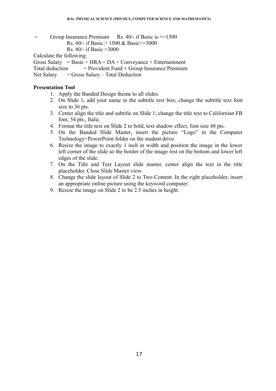$\leftarrow$  Group Insurance Premium Rs. 40/- if Basic is  $\leq 1500$ 

```
Rs. 60/- if Basic > 1500 & Basic <= 3000
```

```
Rs. 80/- if Basic >3000
```
Calculate the following:

Gross Salary = Basic + HRA + DA + Conveyance + Entertainment

Total deduction  $=$  Provident Fund + Group Insurance Premium

Net Salary  $=$  Gross Salary – Total Deduction

#### **Presentation Tool**

- 1. Apply the Banded Design theme to all slides.
- 2. On Slide 1, add your name in the subtitle text box; change the subtitle text font size to 36 pts.
- 3. Center align the title and subtitle on Slide 1; change the title text to Californian FB font, 54 pts., Italic.
- 4. Format the title text on Slide 2 to bold, text shadow effect, font size 48 pts.
- 5. On the Banded Slide Master, insert the picture "Logo" in the Computer Technology>PowerPoint folder on the student drive.
- 6. Resize the image to exactly 1 inch in width and position the image in the lower left corner of the slide so the border of the image rest on the bottom and lower left edges of the slide.
- 7. On the Title and Text Layout slide master, center align the text in the title placeholder. Close Slide Master view.
- 8. Change the slide layout of Slide 2 to Two Content. In the right placeholder, insert an appropriate online picture using the keyword computer.
- 9. Resize the image on Slide 2 to be 2.5 inches in height.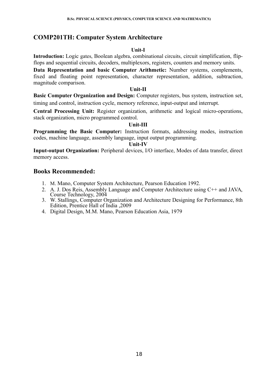## **COMP201TH: Computer System Architecture**

## **Unit-I**

**Introduction:** Logic gates, Boolean algebra, combinational circuits, circuit simplification, flipflops and sequential circuits, decoders, multiplexors, registers, counters and memory units.

**Data Representation and basic Computer Arithmetic:** Number systems, complements, fixed and floating point representation, character representation, addition, subtraction, magnitude comparison.

## **Unit-II**

**Basic Computer Organization and Design:** Computer registers, bus system, instruction set, timing and control, instruction cycle, memory reference, input-output and interrupt.

**Central Processing Unit:** Register organization, arithmetic and logical micro-operations, stack organization, micro programmed control.

### **Unit-III**

**Programming the Basic Computer:** Instruction formats, addressing modes, instruction codes, machine language, assembly language, input output programming.

#### **Unit-IV**

**Input-output Organization:** Peripheral devices, I/O interface, Modes of data transfer, direct memory access.

- 1. M. Mano, Computer System Architecture, Pearson Education 1992.
- 2. A. J. Dos Reis, Assembly Language and Computer Architecture using C++ and JAVA, Course Technology, 2004
- 3. W. Stallings, Computer Organization and Architecture Designing for Performance, 8th Edition, Prentice Hall of India ,2009
- 4. Digital Design, M.M. Mano, Pearson Education Asia, 1979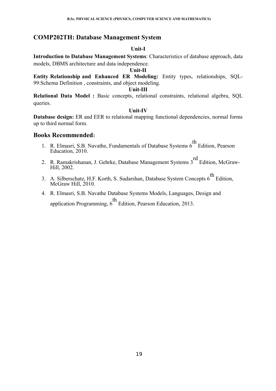## **COMP202TH: Database Management System**

#### **Unit-I**

**Introduction to Database Management Systems**: Characteristics of database approach, data models, DBMS architecture and data independence.

## **Unit-II**

**Entity Relationship and Enhanced ER Modeling:** Entity types, relationships, SQL-99:Schema Definition , constraints, and object modeling.

### **Unit-III**

**Relational Data Model :** Basic concepts, relational constraints, relational algebra, SQL queries.

## **Unit-IV**

**Database design:** ER and EER to relational mapping functional dependencies, normal forms up to third normal form.

- 1. R. Elmasri, S.B. Navathe, Fundamentals of Database Systems 6<sup>th</sup> Edition, Pearson Education, 2010.
- 2. R. Ramakrishanan, J. Gehrke, Database Management Systems 3<sup>rd</sup> Edition. McGraw-Hill, 2002.
- 3. A. Silberschatz, H.F. Korth, S. Sudarshan, Database System Concepts 6<sup>th</sup> Edition, McGraw Hill, 2010.
- 4. R. Elmasri, S.B. Navathe Database Systems Models, Languages, Design and application Programming,  $6<sup>th</sup>$  Edition, Pearson Education, 2013.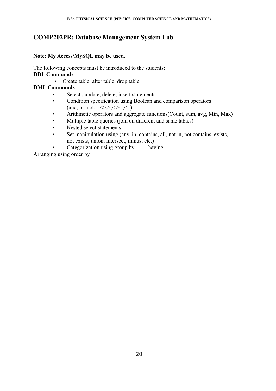## **COMP202PR: Database Management System Lab**

## **Note: My Access/MySQL may be used.**

The following concepts must be introduced to the students: **DDL Commands**

• Create table, alter table, drop table

## **DML Commands**

- Select, update, delete, insert statements
- Condition specification using Boolean and comparison operators (and, or,  $not = \leq \geq \leq \leq \leq = \leq$ )
- Arithmetic operators and aggregate functions(Count, sum, avg, Min, Max)
- Multiple table queries (join on different and same tables)
- Nested select statements
- Set manipulation using (any, in, contains, all, not in, not contains, exists, not exists, union, intersect, minus, etc.)
	- Categorization using group by……..having

Arranging using order by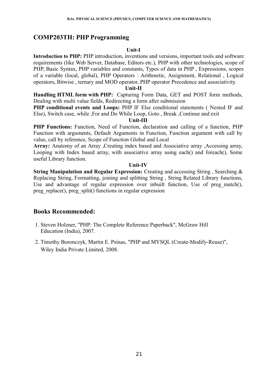## **COMP203TH: PHP Programming**

## **Unit-I**

**Introduction to PHP:** PHP introduction, inventions and versions, important tools and software requirements (like Web Server, Database, Editors etc.), PHP with other technologies, scope of PHP, Basic Syntax, PHP variables and constants, Types of data in PHP , Expressions, scopes of a variable (local, global), PHP Operators : Arithmetic, Assignment, Relational , Logical operators, Bitwise , ternary and MOD operator, PHP operator Precedence and associativity.

#### **Unit-II**

**Handling HTML form with PHP:** Capturing Form Data, GET and POST form methods, Dealing with multi value fields, Redirecting a form after submission

**PHP conditional events and Loops: PHP IF Else conditional statements (Nested IF and** Else), Switch case, while ,For and Do While Loop, Goto , Break ,Continue and exit

### **Unit-III**

**PHP Functions:** Function, Need of Function, declaration and calling of a function, PHP Function with arguments, Default Arguments in Function, Function argument with call by value, call by reference, Scope of Function Global and Local

**Array:** Anatomy of an Array ,Creating index based and Associative array ,Accessing array, Looping with Index based array, with associative array using each() and foreach(), Some useful Library function.

### **Unit-IV**

**String Manipulation and Regular Expression:** Creating and accessing String , Searching & Replacing String, Formatting, joining and splitting String , String Related Library functions, Use and advantage of regular expression over inbuilt function. Use of preg\_match(), preg\_replace(), preg\_split() functions in regular expression

- 1. Steven Holzner, "PHP: The Complete Reference Paperback", McGraw Hill Education (India), 2007.
- 2. Timothy Boronczyk, Martin E. Psinas, "PHP and MYSQL (Create-Modify-Reuse)", Wiley India Private Limited, 2008.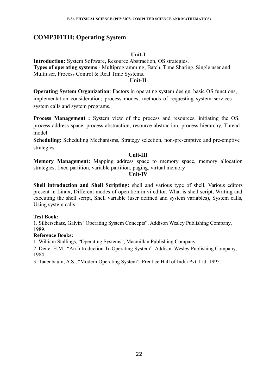## **COMP301TH: Operating System**

## **Unit-I**

**Introduction:** System Software, Resource Abstraction, OS strategies. **Types of operating systems** - Multiprogramming, Batch, Time Sharing, Single user and Multiuser, Process Control & Real Time Systems.

#### **Unit-II**

**Operating System Organization**: Factors in operating system design, basic OS functions, implementation consideration; process modes, methods of requesting system services – system calls and system programs.

**Process Management :** System view of the process and resources, initiating the OS, process address space, process abstraction, resource abstraction, process hierarchy, Thread model

**Scheduling:** Scheduling Mechanisms, Strategy selection, non-pre-emptive and pre-emptive strategies.

## **Unit-III**

**Memory Management:** Mapping address space to memory space, memory allocation strategies, fixed partition, variable partition, paging, virtual memory

**Unit-IV**

**Shell introduction and Shell Scripting:** shell and various type of shell, Various editors present in Linux, Different modes of operation in vi editor, What is shell script, Writing and executing the shell script, Shell variable (user defined and system variables), System calls, Using system calls

### **Text Book:**

1. Silberschatz, Galvin "Operating System Concepts", Addison Wesley Publishing Company, 1989.

## **Reference Books:**

1. William Stallings, "Operating Systems", Macmillan Publishing Company.

2. Deitel H.M., "An Introduction To Operating System", Addison Wesley Publishing Company, 1984.

3. Tanenbaum, A.S., "Modern Operating System", Prentice Hall of India Pvt. Ltd. 1995.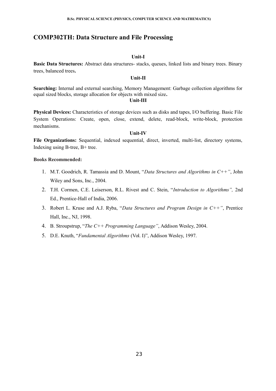## **COMP302TH: Data Structure and File Processing**

#### **Unit-I**

**Basic Data Structures:** Abstract data structures- stacks, queues, linked lists and binary trees. Binary trees, balanced trees**.**

#### **Unit-II**

Searching: Internal and external searching, Memory Management: Garbage collection algorithms for equal sized blocks, storage allocation for objects with mixed size**.**

#### **Unit-III**

**Physical Devices:** Characteristics of storage devices such as disks and tapes, I/O buffering. Basic File System Operations: Create, open, close, extend, delete, read-block, write-block, protection mechanisms.

#### **Unit-IV**

**File Organizations:** Sequential, indexed sequential, direct, inverted, multi-list, directory systems, Indexing using B-tree, B+ tree.

- 1. M.T. Goodrich, R. Tamassia and D. Mount, "*Data Structures and Algorithms in C++"*, John Wiley and Sons, Inc., 2004.
- 2. T.H. Cormen, C.E. Leiserson, R.L. Rivest and C. Stein, "*Introduction to Algorithms",* 2nd Ed., Prentice-Hall of India, 2006.
- 3. Robert L. Kruse and A.J. Ryba, "*Data Structures and Program Design in C++"*, Prentice Hall, Inc., NJ, 1998.
- 4. B. Stroupstrup, "*The C++ Programming Language"*, Addison Wesley, 2004.
- 5. D.E. Knuth, "*Fundamental Algorithms* (Vol. I)", Addison Wesley, 1997.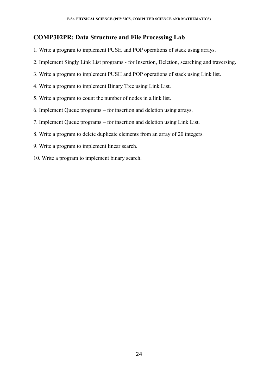## **COMP302PR: Data Structure and File Processing Lab**

- 1. Write a program to implement PUSH and POP operations of stack using arrays.
- 2. Implement Singly Link List programs for Insertion, Deletion, searching and traversing.
- 3. Write a program to implement PUSH and POP operations of stack using Link list.
- 4. Write a program to implement Binary Tree using Link List.
- 5. Write a program to count the number of nodes in a link list.
- 6. Implement Queue programs for insertion and deletion using arrays.
- 7. Implement Queue programs for insertion and deletion using Link List.
- 8. Write a program to delete duplicate elements from an array of 20 integers.
- 9. Write a program to implement linear search.
- 10. Write a program to implement binary search.